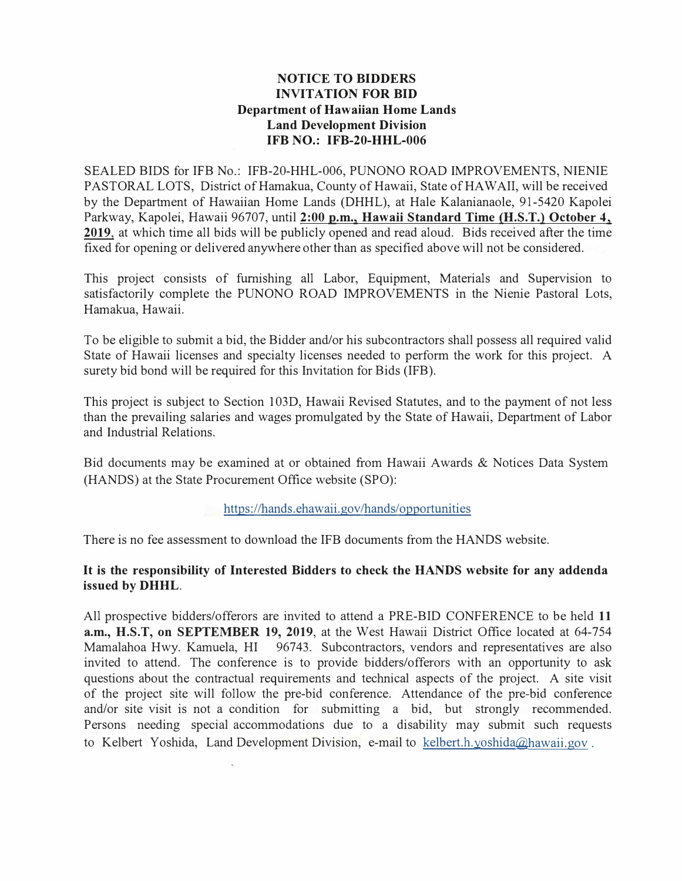## **NOTICE TO BIDDERS INVITATION FOR BID Department of Hawaiian Home Lands Land Development Division IFB NO.: IFB-20-HHL-006**

SEALED BIDS for IFB No.: IFB-20-HHL-006, PUNONO ROAD IMPROVEMENTS, NIENIE PASTORAL LOTS, District of Hamakua, County of Hawaii, State of HAWAII, will be received by the Department of Hawaiian Home Lands (DHHL), at Hale Kalanianaole, 91-5420 Kapolei Parkway, Kapolei, Hawaii 96707, until **2:00 p.m., Hawaii Standard Time (H.S.T.) October 4, 2019,** at which time all bids will be publicly opened and read aloud. Bids received after the time fixed for opening or delivered anywhere other than as specified above will not be considered.

This project consists of furnishing all Labor, Equipment, Materials and Supervision to satisfactorily complete the PUNONO ROAD IMPROVEMENTS in the Nienie Pastoral Lots, Hamakua, Hawaii.

To be eligible to submit a bid, the Bidder and/or his subcontractors shall possess all required valid State of Hawaii licenses and specialty licenses needed to perform the work for this project. A surety bid bond will be required for this Invitation for Bids (IFB).

This project is subject to Section 103D, Hawaii Revised Statutes, and to the payment of not less than the prevailing salaries and wages promulgated by the State of Hawaii, Department of Labor and Industrial Relations.

Bid documents may be examined at or obtained from Hawaii Awards & Notices Data System (HANDS) at the State Procurement Office website (SPO):

## https://hands.ehawaii.gov/hands/opportunities

There is no fee assessment to download the IFB documents from the HANDS website.

## **It is the responsibility of Interested Bidders to check the HANDS website for any addenda issued by DHHL.**

All prospective bidders/offerors are invited to attend a PRE-BID CONFERENCE to be held **11 a.m., H.S.T, on SEPTEMBER 19, 2019,** at the West Hawaii District Office located at 64-754 Mamalahoa Hwy. Kamuela, HI 96743. Subcontractors, vendors and representatives are also invited to attend. The conference is to provide bidders/offerors with an opportunity to ask questions about the contractual requirements and technical aspects of the project. A site visit of the project site will follow the pre-bid conference. Attendance of the pre-bid conference and/or site visit is not a condition for submitting a bid, but strongly recommended. Persons needing special accommodations due to a disability may submit such requests to Kelbert Yoshida, Land Development Division, e-mail to kelbert.h.yoshida@hawaii.gov .